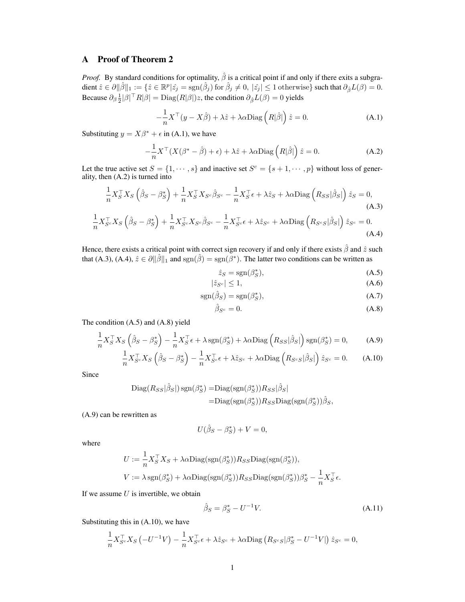## A Proof of Theorem 2

*Proof.* By standard conditions for optimality,  $\hat{\beta}$  is a critical point if and only if there exits a subgra- $\text{dient }\hat{z}\in \partial\|\hat{\beta}\|_1:=\{\hat{z}\in \mathbb{R}^p|\hat{z_j}=\text{sgn}(\hat{\beta}_j)\text{ for }\hat{\beta}_j\neq 0,\ |\hat{z_j}|\leq 1\text{ otherwise}\} \text{ such that }\partial_{\hat{\beta}}L(\beta)=0.$ Because  $\partial_{\beta} \frac{1}{2} |\beta|^{\top} R |\beta| = \text{Diag}(R|\beta|)z$ , the condition  $\partial_{\beta} L(\beta) = 0$  yields

$$
-\frac{1}{n}X^{\top}(y - X\hat{\beta}) + \lambda\hat{z} + \lambda\alpha \text{Diag}\left(R|\hat{\beta}|\right)\hat{z} = 0.
$$
 (A.1)

Substituting  $y = X\beta^* + \epsilon$  in (A.1), we have

$$
-\frac{1}{n}X^{\top}(X(\beta^* - \hat{\beta}) + \epsilon) + \lambda \hat{z} + \lambda \alpha \text{Diag}\left(R|\hat{\beta}|\right)\hat{z} = 0.
$$
 (A.2)

Let the true active set  $S = \{1, \dots, s\}$  and inactive set  $S^c = \{s+1, \dots, p\}$  without loss of generality, then (A.2) is turned into

$$
\frac{1}{n}X_S^\top X_S \left( \hat{\beta}_S - \beta_S^* \right) + \frac{1}{n} X_S^\top X_{S^c} \hat{\beta}_{S^c} - \frac{1}{n} X_S^\top \epsilon + \lambda \hat{z}_S + \lambda \alpha \text{Diag} \left( R_{SS} |\hat{\beta}_S| \right) \hat{z}_S = 0, \tag{A.3}
$$

$$
\frac{1}{n} X_{S^c}^\top X_S \left( \hat{\beta}_S - \beta_S^* \right) + \frac{1}{n} X_{S^c}^\top X_{S^c} \hat{\beta}_{S^c} - \frac{1}{n} X_{S^c}^\top \epsilon + \lambda \hat{z}_{S^c} + \lambda \alpha \text{Diag} \left( R_{S^c S} |\hat{\beta}_S| \right) \hat{z}_{S^c} = 0. \tag{A.4}
$$

Hence, there exists a critical point with correct sign recovery if and only if there exists *β*ˆ and *z*ˆ such that (A.3), (A.4),  $\hat{z} \in \partial ||\hat{\beta}||_1$  and  $sgn(\hat{\beta}) = sgn(\hat{\beta}^*)$ . The latter two conditions can be written as

$$
\hat{z}_S = \text{sgn}(\beta_S^*),\tag{A.5}
$$

$$
|\hat{z}_{S^c}| \le 1,\tag{A.6}
$$

$$
sgn(\hat{\beta}_S) = sgn(\beta_S^*),\tag{A.7}
$$

$$
\hat{\beta}_{S^c} = 0. \tag{A.8}
$$

The condition (A.5) and (A.8) yield

$$
\frac{1}{n}X_S^\top X_S \left(\hat{\beta}_S - \beta_S^*\right) - \frac{1}{n}X_S^\top \epsilon + \lambda \operatorname{sgn}(\beta_S^*) + \lambda \alpha \operatorname{Diag}\left(R_{SS}|\hat{\beta}_S|\right) \operatorname{sgn}(\beta_S^*) = 0,\tag{A.9}
$$

$$
\frac{1}{n} X_{S^c}^\top X_S \left( \hat{\beta}_S - \beta_S^* \right) - \frac{1}{n} X_{S^c}^\top \epsilon + \lambda \hat{z}_{S^c} + \lambda \alpha \text{Diag} \left( R_{S^c S} |\hat{\beta}_S| \right) \hat{z}_{S^c} = 0. \tag{A.10}
$$

Since

$$
\begin{aligned} \text{Diag}(R_{SS}|\hat{\beta}_S|) \, \text{sgn}(\beta_S^*) &= \text{Diag}(\text{sgn}(\beta_S^*)) R_{SS}|\hat{\beta}_S| \\ &= \text{Diag}(\text{sgn}(\beta_S^*)) R_{SS} \text{Diag}(\text{sgn}(\beta_S^*)) \hat{\beta}_S, \end{aligned}
$$

(A.9) can be rewritten as

$$
U(\hat{\beta}_S - \beta_S^*) + V = 0,
$$

where

$$
U := \frac{1}{n} X_S^{\top} X_S + \lambda \alpha \text{Diag}(\text{sgn}(\beta_S^*)) R_{SS} \text{Diag}(\text{sgn}(\beta_S^*)),
$$
  

$$
V := \lambda \text{sgn}(\beta_S^*) + \lambda \alpha \text{Diag}(\text{sgn}(\beta_S^*)) R_{SS} \text{Diag}(\text{sgn}(\beta_S^*)) \beta_S^* - \frac{1}{n} X_S^{\top} \epsilon.
$$

If we assume *U* is invertible, we obtain

$$
\hat{\beta}_S = \beta_S^* - U^{-1} V. \tag{A.11}
$$

Substituting this in (A.10), we have

$$
\frac{1}{n}X_{S^c}^{\top}X_S\left(-U^{-1}V\right)-\frac{1}{n}X_{S^c}^{\top}\epsilon+\lambda\hat{z}_{S^c}+\lambda\alpha\textrm{Diag}\left(R_{S^cS}|\beta^*_S-U^{-1}V|\right)\hat{z}_{S^c}=0,
$$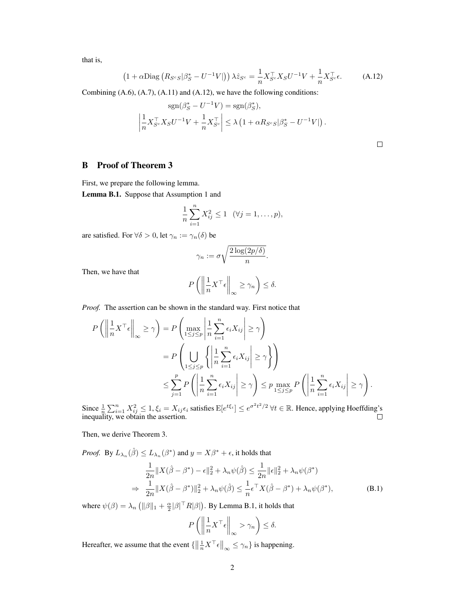that is,

$$
\left(1+\alpha \text{Diag}\left(R_{S^cS}|\beta_S^*-U^{-1}V|\right)\right)\lambda \hat{z}_{S^c} = \frac{1}{n}X_{S^c}^\top X_S U^{-1}V + \frac{1}{n}X_{S^c}^\top \epsilon. \tag{A.12}
$$

Combining (A.6), (A.7), (A.11) and (A.12), we have the following conditions:

$$
sgn(\beta_S^* - U^{-1}V) = sgn(\beta_S^*),
$$
  

$$
\left| \frac{1}{n} X_{S^c}^\top X_S U^{-1} V + \frac{1}{n} X_{S^c}^\top \right| \le \lambda \left( 1 + \alpha R_{S^c S} |\beta_S^* - U^{-1} V| \right).
$$

### B Proof of Theorem 3

First, we prepare the following lemma.

Lemma B.1. Suppose that Assumption 1 and

$$
\frac{1}{n}\sum_{i=1}^{n}X_{ij}^{2} \le 1 \quad (\forall j=1,\ldots,p),
$$

are satisfied. For  $\forall \delta > 0$ , let  $\gamma_n := \gamma_n(\delta)$  be

$$
\gamma_n := \sigma \sqrt{\frac{2 \log(2p/\delta)}{n}}.
$$

Then, we have that

$$
P\left(\left\|\frac{1}{n}X^{\top}\epsilon\right\|_{\infty}\geq\gamma_{n}\right)\leq\delta.
$$

*Proof.* The assertion can be shown in the standard way. First notice that

$$
P\left(\left\|\frac{1}{n}X^{\top}\epsilon\right\|_{\infty}\geq\gamma\right) = P\left(\max_{1\leq j\leq p}\left\|\frac{1}{n}\sum_{i=1}^{n}\epsilon_{i}X_{ij}\right\|\geq\gamma\right)
$$
  
= 
$$
P\left(\bigcup_{1\leq j\leq p}\left\{\left|\frac{1}{n}\sum_{i=1}^{n}\epsilon_{i}X_{ij}\right|\geq\gamma\right\}\right)
$$
  

$$
\leq \sum_{j=1}^{p}P\left(\left|\frac{1}{n}\sum_{i=1}^{n}\epsilon_{i}X_{ij}\right|\geq\gamma\right) \leq p\max_{1\leq j\leq p}P\left(\left|\frac{1}{n}\sum_{i=1}^{n}\epsilon_{i}X_{ij}\right|\geq\gamma\right).
$$

Since  $\frac{1}{n}\sum_{i=1}^n X_{ij}^2 \le 1$ ,  $\xi_i = X_{ij}\epsilon_i$  satisfies  $E[e^{t\xi_i}] \le e^{\sigma^2 t^2/2}$   $\forall t \in \mathbb{R}$ . Hence, applying Hoeffding's inequality, we obtain the assertion.

Then, we derive Theorem 3.

*Proof.* By  $L_{\lambda_n}(\hat{\beta}) \le L_{\lambda_n}(\beta^*)$  and  $y = X\beta^* + \epsilon$ , it holds that

$$
\frac{1}{2n} \|X(\hat{\beta} - \beta^*) - \epsilon\|_2^2 + \lambda_n \psi(\hat{\beta}) \le \frac{1}{2n} \|\epsilon\|_2^2 + \lambda_n \psi(\beta^*)
$$
  
\n
$$
\Rightarrow \frac{1}{2n} \|X(\hat{\beta} - \beta^*)\|_2^2 + \lambda_n \psi(\hat{\beta}) \le \frac{1}{n} \epsilon^{\top} X(\hat{\beta} - \beta^*) + \lambda_n \psi(\beta^*),
$$
 (B.1)

where  $\psi(\beta) = \lambda_n \left( \|\beta\|_1 + \frac{\alpha}{2} |\beta|^{\top} R |\beta| \right)$ . By Lemma B.1, it holds that

$$
P\left(\left\|\frac{1}{n}X^{\top}\epsilon\right\|_{\infty}>\gamma_n\right)\leq\delta.
$$

Hereafter, we assume that the event  $\left\{ \left\| \frac{1}{n} X^\top \epsilon \right\|_\infty \leq \gamma_n \right\}$  is happening.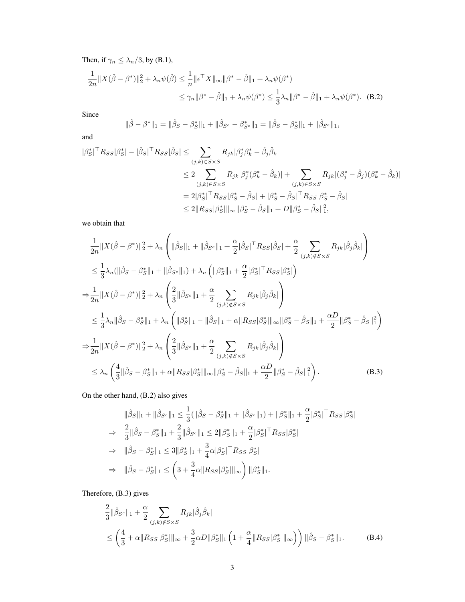Then, if  $\gamma_n \leq \lambda_n/3$ , by (B.1),

$$
\frac{1}{2n}||X(\hat{\beta} - \beta^*)||_2^2 + \lambda_n \psi(\hat{\beta}) \le \frac{1}{n}||\epsilon^{\top} X||_{\infty}||\beta^* - \hat{\beta}||_1 + \lambda_n \psi(\beta^*)
$$
  

$$
\le \gamma_n ||\beta^* - \hat{\beta}||_1 + \lambda_n \psi(\beta^*) \le \frac{1}{3}\lambda_n ||\beta^* - \hat{\beta}||_1 + \lambda_n \psi(\beta^*).
$$
 (B.2)

Since

$$
\|\hat{\beta} - \beta^*\|_1 = \|\hat{\beta}_S - \beta^*_S\|_1 + \|\hat{\beta}_{S^c} - \beta^*_{S^c}\|_1 = \|\hat{\beta}_S - \beta^*_S\|_1 + \|\hat{\beta}_{S^c}\|_1,
$$

and

$$
\begin{split} |\beta_S^*|^{\top} R_{SS} |\beta_S^*| - |\hat{\beta}_S|^{\top} R_{SS} |\hat{\beta}_S| &\leq \sum_{(j,k)\in S \times S} R_{jk} |\beta_j^* \beta_k^* - \hat{\beta}_j \hat{\beta}_k| \\ &\leq 2 \sum_{(j,k)\in S \times S} R_{jk} |\beta_j^* (\beta_k^* - \hat{\beta}_k)| + \sum_{(j,k)\in S \times S} R_{jk} |(\beta_j^* - \hat{\beta}_j)(\beta_k^* - \hat{\beta}_k)| \\ &= 2|\beta_S^*|^{\top} R_{SS} |\beta_S^* - \hat{\beta}_S| + |\beta_S^* - \hat{\beta}_S|^{\top} R_{SS} |\beta_S^* - \hat{\beta}_S| \\ &\leq 2\|R_{SS} |\beta_S^*| \|_{\infty} \|\beta_S^* - \hat{\beta}_S \|_1 + D \|\beta_S^* - \hat{\beta}_S \|_1^2, \end{split}
$$

we obtain that

$$
\frac{1}{2n} \|X(\hat{\beta} - \beta^{*})\|_{2}^{2} + \lambda_{n} \left( \|\hat{\beta}_{S}\|_{1} + \|\hat{\beta}_{S^{c}}\|_{1} + \frac{\alpha}{2} |\hat{\beta}_{S}|^{\top} R_{SS}|\hat{\beta}_{S}| + \frac{\alpha}{2} \sum_{(j,k)\notin S \times S} R_{jk}|\hat{\beta}_{j}\hat{\beta}_{k}| \right) \n\leq \frac{1}{3} \lambda_{n} (\|\hat{\beta}_{S} - \beta_{S}^{*}\|_{1} + \|\hat{\beta}_{S^{c}}\|_{1}) + \lambda_{n} \left( \|\beta_{S}^{*}\|_{1} + \frac{\alpha}{2} |\beta_{S}^{*}|^{\top} R_{SS}|\beta_{S}^{*}| \right) \n\Rightarrow \frac{1}{2n} \|X(\hat{\beta} - \beta^{*})\|_{2}^{2} + \lambda_{n} \left( \frac{2}{3} \|\hat{\beta}_{S^{c}}\|_{1} + \frac{\alpha}{2} \sum_{(j,k)\notin S \times S} R_{jk}|\hat{\beta}_{j}\hat{\beta}_{k}| \right) \n\leq \frac{1}{3} \lambda_{n} \|\hat{\beta}_{S} - \beta_{S}^{*}\|_{1} + \lambda_{n} \left( \|\beta_{S}^{*}\|_{1} - \|\hat{\beta}_{S}\|_{1} + \alpha \|R_{SS}|\beta_{S}^{*}\|_{\infty} \|\beta_{S}^{*} - \hat{\beta}_{S}\|_{1} + \frac{\alpha D}{2} \|\beta_{S}^{*} - \hat{\beta}_{S}\|_{1}^{2} \right) \n\Rightarrow \frac{1}{2n} \|X(\hat{\beta} - \beta^{*})\|_{2}^{2} + \lambda_{n} \left( \frac{2}{3} \|\hat{\beta}_{S^{c}}\|_{1} + \frac{\alpha}{2} \sum_{(j,k)\notin S \times S} R_{jk}|\hat{\beta}_{j}\hat{\beta}_{k}| \right) \n\leq \lambda_{n} \left( \frac{4}{3} \|\hat{\beta}_{S} - \beta_{S}^{*}\|_{1} + \alpha \|R_{SS}|\beta_{S}^{*}\|_{\infty} \|\beta_{S}^{*} - \hat{\beta}_{S}\|_{1} + \frac{\alpha D}{2} \|\beta_{S}^{*} - \hat{\beta}_{S}\|_{1}^{2} \right).
$$
\n(B.3)

On the other hand, (B.2) also gives

$$
\|\hat{\beta}_{S}\|_{1} + \|\hat{\beta}_{S^{c}}\|_{1} \leq \frac{1}{3}(\|\hat{\beta}_{S} - \beta_{S}^{*}\|_{1} + \|\hat{\beta}_{S^{c}}\|_{1}) + \|\beta_{S}^{*}\|_{1} + \frac{\alpha}{2}|\beta_{S}^{*}|^{\top}R_{SS}|\beta_{S}^{*}|
$$
  
\n
$$
\Rightarrow \frac{2}{3}\|\hat{\beta}_{S} - \beta_{S}^{*}\|_{1} + \frac{2}{3}\|\hat{\beta}_{S^{c}}\|_{1} \leq 2\|\beta_{S}^{*}\|_{1} + \frac{\alpha}{2}|\beta_{S}^{*}|^{\top}R_{SS}|\beta_{S}^{*}|
$$
  
\n
$$
\Rightarrow \|\hat{\beta}_{S} - \beta_{S}^{*}\|_{1} \leq 3\|\beta_{S}^{*}\|_{1} + \frac{3}{4}\alpha|\beta_{S}^{*}|^{\top}R_{SS}|\beta_{S}^{*}|
$$
  
\n
$$
\Rightarrow \|\hat{\beta}_{S} - \beta_{S}^{*}\|_{1} \leq \left(3 + \frac{3}{4}\alpha\|R_{SS}|\beta_{S}^{*}\|\|\infty\right)\|\beta_{S}^{*}\|_{1}.
$$

Therefore, (B.3) gives

$$
\frac{2}{3} \|\hat{\beta}_{S^c}\|_1 + \frac{\alpha}{2} \sum_{(j,k)\notin S \times S} R_{jk} |\hat{\beta}_j \hat{\beta}_k|
$$
\n
$$
\leq \left(\frac{4}{3} + \alpha \|R_{SS}|\beta_S^*|\|_{\infty} + \frac{3}{2} \alpha D \|\beta_S^*\|_1 \left(1 + \frac{\alpha}{4} \|R_{SS}|\beta_S^*|\|_{\infty}\right)\right) \|\hat{\beta}_S - \beta_S^*\|_1. \tag{B.4}
$$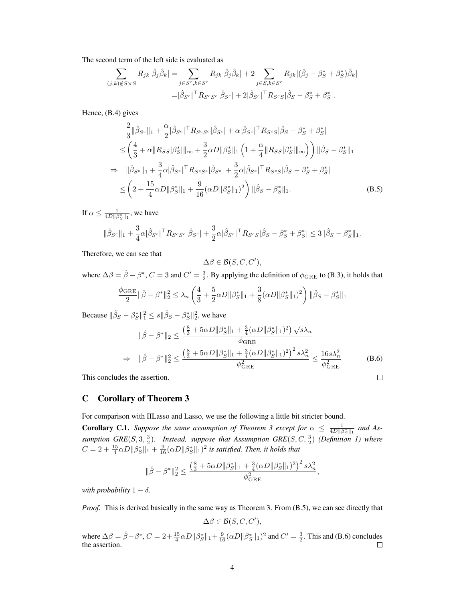The second term of the left side is evaluated as

$$
\sum_{(j,k)\notin S\times S} R_{jk} |\hat{\beta}_j \hat{\beta}_k| = \sum_{j \in S^c, k \in S^c} R_{jk} |\hat{\beta}_j \hat{\beta}_k| + 2 \sum_{j \in S, k \in S^c} R_{jk} |(\hat{\beta}_j - \beta_S^* + \beta_S^*) \hat{\beta}_k|
$$

$$
= |\hat{\beta}_{S^c}|^\top R_{S^c S^c} |\hat{\beta}_{S^c}| + 2|\hat{\beta}_{S^c}|^\top R_{S^c S} |\hat{\beta}_S - \beta_S^* + \beta_S^*|.
$$

Hence, (B.4) gives

$$
\frac{2}{3} \|\hat{\beta}_{S^c}\|_1 + \frac{\alpha}{2} |\hat{\beta}_{S^c}|^\top R_{S^c S^c} |\hat{\beta}_{S^c}| + \alpha |\hat{\beta}_{S^c}|^\top R_{S^c S} |\hat{\beta}_S - \beta_S^* + \beta_S^*| \n\leq \left(\frac{4}{3} + \alpha \|R_{SS}|\beta_S^*|\|_{\infty} + \frac{3}{2} \alpha D \|\beta_S^*\|_1 \left(1 + \frac{\alpha}{4} \|R_{SS}|\beta_S^*|\|_{\infty}\right)\right) \|\hat{\beta}_S - \beta_S^*\|_1 \n\Rightarrow \|\hat{\beta}_{S^c}\|_1 + \frac{3}{4} \alpha |\hat{\beta}_{S^c}|^\top R_{S^c S^c} |\hat{\beta}_{S^c}| + \frac{3}{2} \alpha |\hat{\beta}_{S^c}|^\top R_{S^c S} |\hat{\beta}_S - \beta_S^* + \beta_S^*| \n\leq \left(2 + \frac{15}{4} \alpha D \|\beta_S^*\|_1 + \frac{9}{16} (\alpha D \|\beta_S^*\|_1)^2\right) \|\hat{\beta}_S - \beta_S^*\|_1.
$$
\n(B.5)

If  $\alpha \le \frac{1}{4D||\beta_S^*||_1}$ , we have

$$
\|\hat{\beta}_{S^c}\|_1 + \frac{3}{4}\alpha|\hat{\beta}_{S^c}|^\top R_{S^cS^c}|\hat{\beta}_{S^c}| + \frac{3}{2}\alpha|\hat{\beta}_{S^c}|^\top R_{S^cS}|\hat{\beta}_S - \beta_S^* + \beta_S^*| \le 3\|\hat{\beta}_S - \beta_S^*\|_1.
$$

Therefore, we can see that

$$
\Delta \beta \in \mathcal{B}(S, C, C'),
$$

where  $\Delta\beta = \hat{\beta} - \beta^*$ ,  $C = 3$  and  $C' = \frac{3}{2}$ . By applying the definition of  $\phi_{\text{GRE}}$  to (B.3), it holds that

$$
\frac{\phi_{\text{GRE}}}{2} \|\hat{\beta} - \beta^*\|_2^2 \le \lambda_n \left(\frac{4}{3} + \frac{5}{2}\alpha D \|\beta_S^*\|_1 + \frac{3}{8}(\alpha D \|\beta_S^*\|_1)^2\right) \|\hat{\beta}_S - \beta_S^*\|_1
$$

Because  $||\hat{\beta}_S - \beta_S^*||_1^2 \le s ||\hat{\beta}_S - \beta_S^*||_2^2$ , we have

$$
\|\hat{\beta} - \beta^*\|_2 \le \frac{\left(\frac{8}{3} + 5\alpha D\|\beta_S^*\|_1 + \frac{3}{4}(\alpha D\|\beta_S^*\|_1)^2\right)\sqrt{s}\lambda_n}{\phi_{\text{GRE}}}
$$
  
\n
$$
\Rightarrow \|\hat{\beta} - \beta^*\|_2^2 \le \frac{\left(\frac{8}{3} + 5\alpha D\|\beta_S^*\|_1 + \frac{3}{4}(\alpha D\|\beta_S^*\|_1)^2\right)^2 s\lambda_n^2}{\phi_{\text{GRE}}^2} \le \frac{16s\lambda_n^2}{\phi_{\text{GRE}}^2}
$$
(B.6)

 $\Box$ 

This concludes the assertion.

# C Corollary of Theorem 3

For comparison with IILasso and Lasso, we use the following a little bit stricter bound.

**Corollary C.1.** Suppose the same assumption of Theorem 3 except for  $\alpha \leq \frac{1}{4D||\beta_{\mathcal{S}}^*||_1}$  and As*sumption GRE*(*S,* 3*,* 3 2 )*. Instead, suppose that Assumption GRE*(*S, C,* <sup>3</sup> 2 ) *(Definition 1) where*  $C = 2 + \frac{15}{4}\alpha D||\beta^*_S||_1 + \frac{9}{16}(\alpha D||\beta^*_S||_1)^2$  is satisfied. Then, it holds that

$$
\|\hat{\beta} - \beta^*\|_2^2 \le \frac{\left(\frac{8}{3} + 5\alpha D\|\beta^*_S\|_1 + \frac{3}{4}(\alpha D\|\beta^*_S\|_1)^2\right)^2 s\lambda_n^2}{\phi_{\text{GRE}}^2},
$$

*with probability*  $1 - \delta$ *.* 

*Proof.* This is derived basically in the same way as Theorem 3. From (B.5), we can see directly that

$$
\Delta \beta \in \mathcal{B}(S, C, C'),
$$

where  $\Delta \beta = \hat{\beta} - \beta^*$ ,  $C = 2 + \frac{15}{4} \alpha D ||\beta^*_{S}||_1 + \frac{9}{16} (\alpha D ||\beta^*_{S}||_1)^2$  and  $C' = \frac{3}{2}$ . This and (B.6) concludes the assertion.  $\Box$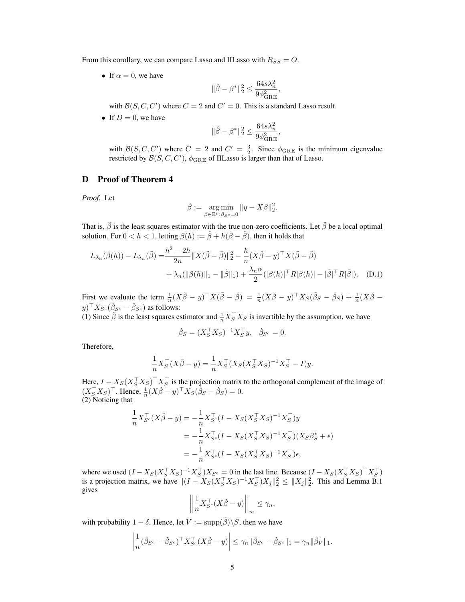From this corollary, we can compare Lasso and IILasso with  $R_{SS} = O$ .

• If  $\alpha = 0$ , we have

$$
\|\hat{\beta}-\beta^*\|_2^2 \leq \frac{64s\lambda_n^2}{9\phi_{\rm GRE}^2},
$$

with  $\mathcal{B}(S, C, C')$  where  $C = 2$  and  $C' = 0$ . This is a standard Lasso result.

• If  $D = 0$ , we have

$$
\|\hat{\beta}-\beta^*\|_2^2 \leq \frac{64s\lambda_n^2}{9\phi_{\rm GRE}^2},
$$

with  $\mathcal{B}(S, C, C')$  where  $C = 2$  and  $C' = \frac{3}{2}$ . Since  $\phi_{\text{GRE}}$  is the minimum eigenvalue restricted by  $\mathcal{B}(S, C, C'), \phi_{\rm GRE}$  of IILasso is larger than that of Lasso.

### D Proof of Theorem 4

*Proof.* Let

$$
\check{\beta} := \underset{\beta \in \mathbb{R}^p : \beta_{S^c} = 0}{\arg \min} \|y - X\beta\|_2^2.
$$

That is,  $\check{\beta}$  is the least squares estimator with the true non-zero coefficients. Let  $\tilde{\beta}$  be a local optimal solution. For  $0 < h < 1$ , letting  $\beta(h) := \tilde{\beta} + h(\tilde{\beta} - \tilde{\beta})$ , then it holds that

$$
L_{\lambda_n}(\beta(h)) - L_{\lambda_n}(\tilde{\beta}) = \frac{h^2 - 2h}{2n} ||X(\tilde{\beta} - \tilde{\beta})||_2^2 - \frac{h}{n}(X\tilde{\beta} - y)^\top X(\tilde{\beta} - \tilde{\beta})
$$
  
+  $\lambda_n(||\beta(h)||_1 - ||\tilde{\beta}||_1) + \frac{\lambda_n \alpha}{2} (|\beta(h)|^\top R |\beta(h)| - |\tilde{\beta}|^\top R |\tilde{\beta}|).$  (D.1)

First we evaluate the term  $\frac{1}{n}(X\check{\beta}-y)^{\top}X(\tilde{\beta}-\check{\beta}) = \frac{1}{n}(X\check{\beta}-y)^{\top}X_{S}(\tilde{\beta}_{S}-\check{\beta}_{S}) + \frac{1}{n}(X\check{\beta}-\check{\beta}_{S})$  $y)^{\top} X_{S^c} (\tilde{\beta}_{S^c} - \check{\beta}_{S^c})$  as follows:

(1) Since  $\check{\beta}$  is the least squares estimator and  $\frac{1}{n} X_S^\top X_S$  is invertible by the assumption, we have

$$
\check{\beta}_S = (X_S^\top X_S)^{-1} X_S^\top y, \quad \check{\beta}_{S^c} = 0.
$$

Therefore,

$$
\frac{1}{n}X_S^{\top}(X\check{\beta} - y) = \frac{1}{n}X_S^{\top}(X_S(X_S^{\top}X_S)^{-1}X_S^{\top} - I)y.
$$

Here,  $I - X_S(X_S^{\dagger} X_S)^{\dagger} X_S^{\dagger}$  is the projection matrix to the orthogonal complement of the image of  $(X_S^\top X_S)^\top$ . Hence,  $\frac{1}{n}(X\check{\beta} - y)^\top X_S(\check{\beta}_S - \check{\beta}_S) = 0$ . (2) Noticing that

$$
\frac{1}{n} X_{S^c}^\top (X \check{\beta} - y) = -\frac{1}{n} X_{S^c}^\top (I - X_S (X_S^\top X_S)^{-1} X_S^\top) y \n= -\frac{1}{n} X_{S^c}^\top (I - X_S (X_S^\top X_S)^{-1} X_S^\top) (X_S \beta_S^* + \epsilon) \n= -\frac{1}{n} X_{S^c}^\top (I - X_S (X_S^\top X_S)^{-1} X_S^\top) \epsilon,
$$

where we used  $(I - X_S(X_S^\top X_S)^{-1} X_S^\top) X_{S^c} = 0$  in the last line. Because  $(I - X_S(X_S^\top X_S)^\top X_S^\top)$ is a projection matrix, we have  $||(I - X_S(X_S^{\top}X_S)^{-1}X_S^{\top})X_j||_2^2 \le ||X_j||_2^2$ . This and Lemma B.1 gives

$$
\left\| \frac{1}{n} X_{S^c}^\top (X \check{\beta} - y) \right\|_\infty \le \gamma_n,
$$

with probability  $1 - \delta$ . Hence, let  $V := \text{supp}(\tilde{\beta}) \backslash S$ , then we have

$$
\left|\frac{1}{n}(\tilde{\beta}_{S^c} - \check{\beta}_{S^c})^\top X_{S^c}^\top (X\check{\beta} - y)\right| \leq \gamma_n \|\tilde{\beta}_{S^c} - \check{\beta}_{S^c}\|_1 = \gamma_n \|\tilde{\beta}_V\|_1.
$$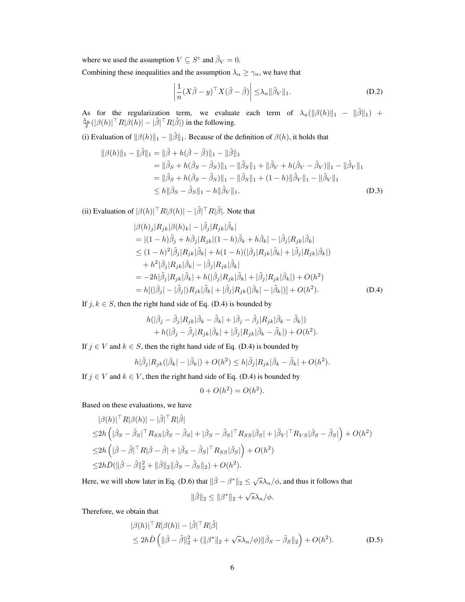where we used the assumption  $V \subseteq S^c$  and  $\check{\beta}_V = 0$ .

Combining these inequalities and the assumption  $\lambda_n \geq \gamma_n$ , we have that

$$
\left|\frac{1}{n}(X\check{\beta}-y)^{\top}X(\check{\beta}-\check{\beta})\right| \leq \lambda_n \|\tilde{\beta}_V\|_1.
$$
 (D.2)

As for the regularization term, we evaluate each term of  $\lambda_n(||\beta(h)||_1 - ||\tilde{\beta}||_1) + \frac{\lambda_n}{2}(|\beta(h)|^{\top}R|\beta(h)| - |\tilde{\beta}|^{\top}R|\tilde{\beta}|)$  in the following.

(i) Evaluation of  $||\beta(h)||_1 - ||\tilde{\beta}||_1$ . Because of the definition of  $\beta(h)$ , it holds that

$$
\|\beta(h)\|_1 - \|\tilde{\beta}\|_1 = \|\tilde{\beta} + h(\check{\beta} - \tilde{\beta})\|_1 - \|\tilde{\beta}\|_1
$$
  
\n=  $\|\tilde{\beta}_S + h(\check{\beta}_S - \tilde{\beta}_S)\|_1 - \|\tilde{\beta}_S\|_1 + \|\tilde{\beta}_V + h(\check{\beta}_V - \tilde{\beta}_V)\|_1 - \|\tilde{\beta}_V\|_1$   
\n=  $\|\tilde{\beta}_S + h(\check{\beta}_S - \tilde{\beta}_S)\|_1 - \|\tilde{\beta}_S\|_1 + (1 - h)\|\tilde{\beta}_V\|_1 - \|\tilde{\beta}_V\|_1$   
\n $\le h \|\check{\beta}_S - \tilde{\beta}_S\|_1 - h \|\tilde{\beta}_V\|_1.$  (D.3)

(ii) Evaluation of  $|\beta(h)|^{\top}R|\beta(h)| - |\tilde{\beta}|^{\top}R|\tilde{\beta}|$ . Note that

$$
|\beta(h)_j|R_{jk}|\beta(h)_k| - |\tilde{\beta}_j|R_{jk}|\tilde{\beta}_k| = |(1-h)\tilde{\beta}_j + h\tilde{\beta}_j|R_{jk}|(1-h)\tilde{\beta}_k + h\tilde{\beta}_k| - |\tilde{\beta}_j|R_{jk}|\tilde{\beta}_k| \leq (1-h)^2|\tilde{\beta}_j|R_{jk}|\tilde{\beta}_k| + h(1-h)(|\tilde{\beta}_j|R_{jk}|\tilde{\beta}_k| + |\tilde{\beta}_j|R_{jk}|\tilde{\beta}_k|) + h^2|\tilde{\beta}_j|R_{jk}|\tilde{\beta}_k| - |\tilde{\beta}_j|R_{jk}|\tilde{\beta}_k| = -2h|\tilde{\beta}_j|R_{jk}|\tilde{\beta}_k| + h(|\tilde{\beta}_j|R_{jk}|\tilde{\beta}_k| + |\tilde{\beta}_j|R_{jk}|\tilde{\beta}_k|) + O(h^2) = h[(|\tilde{\beta}_j| - |\tilde{\beta}_j|)R_{jk}|\tilde{\beta}_k| + |\tilde{\beta}_j|R_{jk}(|\tilde{\beta}_k| - |\tilde{\beta}_k|)] + O(h^2).
$$
 (D.4)

If  $j, k \in S$ , then the right hand side of Eq. (D.4) is bounded by

$$
h(|\check{\beta}_j - \tilde{\beta}_j | R_{jk} | \check{\beta}_k - \tilde{\beta}_k | + | \check{\beta}_j - \tilde{\beta}_j | R_{jk} | \check{\beta}_k - \tilde{\beta}_k | )
$$
  
+ 
$$
h(|\check{\beta}_j - \tilde{\beta}_j | R_{jk} | \check{\beta}_k | + | \check{\beta}_j | R_{jk} | \check{\beta}_k - \tilde{\beta}_k | ) + O(h^2).
$$

If  $j \in V$  and  $k \in S$ , then the right hand side of Eq. (D.4) is bounded by

$$
h|\tilde{\beta}_j|R_{jk}(|\tilde{\beta}_k| - |\tilde{\beta}_k|) + O(h^2) \le h|\tilde{\beta}_j|R_{jk}|\tilde{\beta}_k - \tilde{\beta}_k| + O(h^2).
$$

If  $j \in V$  and  $k \in V$ , then the right hand side of Eq. (D.4) is bounded by

$$
0 + O(h^2) = O(h^2).
$$

Based on these evaluations, we have

$$
\begin{split}\n&|\beta(h)|^{\top}R|\beta(h)|-|\tilde{\beta}|^{\top}R|\tilde{\beta}| \\
&\leq&2h\left(|\check{\beta}_{S}-\tilde{\beta}_{S}|^{\top}R_{SS}|\check{\beta}_{S}-\tilde{\beta}_{S}|+|\check{\beta}_{S}-\tilde{\beta}_{S}|^{\top}R_{SS}|\check{\beta}_{S}|+|\tilde{\beta}_{V}|^{\top}R_{VS}|\check{\beta}_{S}-\tilde{\beta}_{S}|\right)+O(h^{2}) \\
&\leq&2h\left(|\check{\beta}-\tilde{\beta}|^{\top}R|\check{\beta}-\tilde{\beta}|+|\check{\beta}_{S}-\tilde{\beta}_{S}|^{\top}R_{SS}|\check{\beta}_{S}|\right)+O(h^{2}) \\
&\le&2h\bar{D}(\|\check{\beta}-\tilde{\beta}\|_{2}^{2}+\|\check{\beta}\|_{2}\|\check{\beta}_{S}-\tilde{\beta}_{S}\|_{2})+O(h^{2}).\n\end{split}
$$

Here, we will show later in Eq. (D.6) that  $||\check{\beta} - \beta^*||_2 \leq \sqrt{s}\lambda_n/\phi$ , and thus it follows that

$$
\|\check{\beta}\|_2 \le \|\beta^*\|_2 + \sqrt{s}\lambda_n/\phi.
$$

Therefore, we obtain that

$$
|\beta(h)|^{\top} R |\beta(h)| - |\tilde{\beta}|^{\top} R |\tilde{\beta}|
$$
  
\n
$$
\leq 2h\bar{D} \left( ||\tilde{\beta} - \tilde{\beta}||_2^2 + (||\beta^*||_2 + \sqrt{s}\lambda_n/\phi) ||\tilde{\beta}_S - \tilde{\beta}_S||_2 \right) + O(h^2).
$$
 (D.5)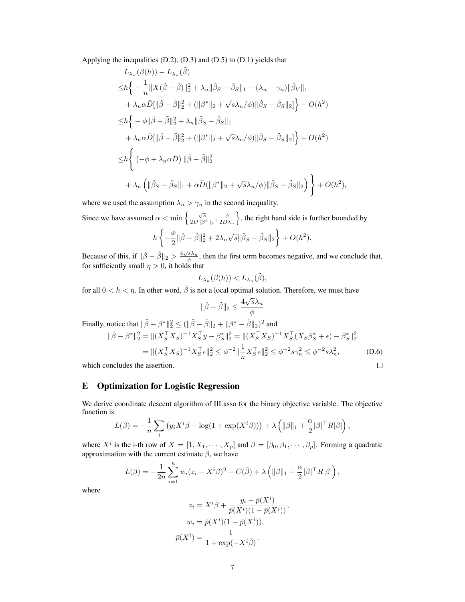Applying the inequalities (D.2), (D.3) and (D.5) to (D.1) yields that

$$
L_{\lambda_n}(\beta(h)) - L_{\lambda_n}(\tilde{\beta})
$$
  
\n
$$
\leq h \left\{ -\frac{1}{n} \|X(\check{\beta} - \tilde{\beta})\|_2^2 + \lambda_n \|\tilde{\beta}_S - \check{\beta}_S\|_1 - (\lambda_n - \gamma_n) \|\tilde{\beta}_V\|_1
$$
  
\n
$$
+ \lambda_n \alpha \bar{D}[\|\check{\beta} - \tilde{\beta}\|_2^2 + (\|\beta^*\|_2 + \sqrt{s}\lambda_n/\phi)\|\check{\beta}_S - \tilde{\beta}_S\|_2] \right\} + O(h^2)
$$
  
\n
$$
\leq h \left\{ -\phi \|\check{\beta} - \tilde{\beta}\|_2^2 + \lambda_n \|\tilde{\beta}_S - \check{\beta}_S\|_1
$$
  
\n
$$
+ \lambda_n \alpha \bar{D}[\|\check{\beta} - \tilde{\beta}\|_2^2 + (\|\beta^*\|_2 + \sqrt{s}\lambda_n/\phi)\|\check{\beta}_S - \tilde{\beta}_S\|_2] \right\} + O(h^2)
$$
  
\n
$$
\leq h \left\{ (-\phi + \lambda_n \alpha \bar{D}) \|\check{\beta} - \tilde{\beta}\|_2^2
$$
  
\n
$$
+ \lambda_n \left( \|\tilde{\beta}_S - \check{\beta}_S\|_1 + \alpha \bar{D}(\|\beta^*\|_2 + \sqrt{s}\lambda_n/\phi) \|\check{\beta}_S - \tilde{\beta}_S\|_2 \right) \right\} + O(h^2),
$$

where we used the assumption  $\lambda_n > \gamma_n$  in the second inequality.

Since we have assumed  $\alpha < \min\left\{\frac{\sqrt{s}}{2D||\beta^*||_2}, \frac{\phi}{2D\lambda_n}\right\}$ , the right hand side is further bounded by  $h \left\{ -\frac{\phi}{2} \right\}$  $\frac{\phi}{2} \|\check{\beta} - \tilde{\beta}\|_2^2 + 2\lambda_n \sqrt{s} \|\check{\beta}_S - \tilde{\beta}_S\|_2 \bigg\} + O(h^2).$ 

Because of this, if 
$$
\|\tilde{\beta} - \tilde{\beta}\|_2 > \frac{4\sqrt{s}\lambda_n}{\phi}
$$
, then the first term becomes negative, and we conclude that, for sufficiently small  $\eta > 0$ , it holds that

$$
L_{\lambda_n}(\beta(h)) < L_{\lambda_n}(\tilde{\beta}),
$$

for all  $0 < h < \eta$ . In other word,  $\tilde{\beta}$  is not a local optimal solution. Therefore, we must have

$$
\|\check{\beta}-\tilde{\beta}\|_2 \leq \frac{4\sqrt{s}\lambda_n}{\phi}
$$

Finally, notice that  $\|\tilde{\beta} - \beta^*\|^2_2 \le (\|\tilde{\beta} - \check{\beta}\|_2 + \|\beta^* - \check{\beta}\|_2)^2$  and  $\|\check{\beta}-\beta^*\|_2^2 = \|(X_S^\top X_S)^{-1}X_S^\top y - \beta_S^*\|_2^2 = \|(X_S^\top X_S)^{-1}X_S^\top (X_S\beta_S^* + \epsilon) - \beta_S^*\|_2^2$  $=$  $||(X_S^\top X_S)^{-1} X_S^\top \epsilon||_2^2 \leq \phi^{-2} || \frac{1}{2}$  $\frac{1}{n} X_S^{\top} \epsilon \|_2^2 \leq \phi^{-2} s \gamma_n^2 \leq \phi^{-2} s \lambda_n^2$ *,* (D.6)  $\Box$ 

which concludes the assertion.

### E Optimization for Logistic Regression

We derive coordinate descent algorithm of IILasso for the binary objective variable. The objective function is

$$
L(\beta) = -\frac{1}{n} \sum_{i} \left( y_i X^i \beta - \log(1 + \exp(X^i \beta)) \right) + \lambda \left( \|\beta\|_1 + \frac{\alpha}{2} |\beta|^\top R |\beta| \right)
$$

*,*

where  $X^i$  is the i-th row of  $X = [1, X_1, \cdots, X_p]$  and  $\beta = [\beta_0, \beta_1, \cdots, \beta_p]$ . Forming a quadratic approximation with the current estimate  $\bar{\beta}$ , we have

$$
\bar{L}(\beta) = -\frac{1}{2n} \sum_{i=1}^{n} w_i (z_i - X^i \beta)^2 + C(\bar{\beta}) + \lambda \left( \|\beta\|_1 + \frac{\alpha}{2} |\beta|^\top R |\beta| \right),
$$

where

$$
z_i = X^i \overline{\beta} + \frac{y_i - \overline{p}(X^i)}{\overline{p}(X^i)(1 - \overline{p}(X^i))},
$$

$$
w_i = \overline{p}(X^i)(1 - \overline{p}(X^i)),
$$

$$
\overline{p}(X^i) = \frac{1}{1 + \exp(-X^i \overline{\beta})}.
$$